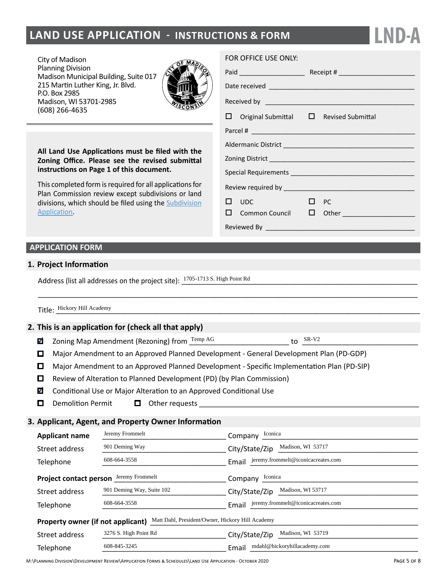# **LAND USE APPLICATION - INSTRUCTIONS & FORM**

City of Madison Planning Division Madison Municipal Building, Suite 017 215 Martin Luther King, Jr. Blvd. P.O. Box 2985 Madison, WI 53701-2985 (608) 266-4635



**All Land Use Applications must be filed with the Zoning Office. Please see the revised submittal instructions on Page 1 of this document.**

This completed form is required for all applications for Plan Commission review except subdivisions or land divisions, which should be filed using the [Subdivision](http://www.cityofmadison.com/development-services-center/documents/SubdivisionApplication.pdf) [Application.](http://www.cityofmadison.com/development-services-center/documents/SubdivisionApplication.pdf)

#### FOR OFFICE USE ONLY:

|  | $\Box$ Original Submittal $\Box$ Revised Submittal |           |                                          |  |  |  |
|--|----------------------------------------------------|-----------|------------------------------------------|--|--|--|
|  |                                                    |           |                                          |  |  |  |
|  |                                                    |           |                                          |  |  |  |
|  |                                                    |           |                                          |  |  |  |
|  |                                                    |           |                                          |  |  |  |
|  |                                                    |           |                                          |  |  |  |
|  | $\square$ $\square$                                | $\Box$ PC |                                          |  |  |  |
|  |                                                    |           | $\square$ Common Council $\square$ Other |  |  |  |
|  |                                                    |           |                                          |  |  |  |

to  $SR- V2$ 

**LND-A**

## **APPLICATION FORM**

#### **1. Project Information**

Address (list all addresses on the project site):  $\frac{1705 \cdot 1713 \text{ S. High Point Rd}}{$ 

| $    -$<br>Academy<br>Hickory<br>Title<br>H1ll |  |
|------------------------------------------------|--|
|------------------------------------------------|--|

### **2. This is an application for (check all that apply)**

- Zoning Map Amendment (Rezoning) from  $\frac{\text{Temp AG}}{}$ M
- Major Amendment to an Approved Planned Development General Development Plan (PD-GDP)

\_\_\_\_\_\_\_\_\_\_\_\_\_\_\_\_\_\_\_\_\_\_\_\_\_\_\_\_\_\_\_\_\_\_\_\_\_\_\_\_\_\_\_\_\_\_\_\_\_\_\_\_\_\_\_\_\_\_\_\_\_\_\_\_\_\_\_\_\_\_\_\_\_\_\_\_\_\_\_\_\_\_\_\_\_\_\_\_\_\_\_\_\_\_\_

- Major Amendment to an Approved Planned Development Specific Implementation Plan (PD-SIP)
- Review of Alteration to Planned Development (PD) (by Plan Commission)
- $\blacktriangledown$ Conditional Use or Major Alteration to an Approved Conditional Use
- $\Box$ Demolition Permit  $\Box$  Other requests  $\Box$

## **3. Applicant, Agent, and Property Owner Information**

| <b>Applicant name</b>                                                                 | Jeremy Frommelt           | Iconica<br>Company                          |  |  |  |  |  |
|---------------------------------------------------------------------------------------|---------------------------|---------------------------------------------|--|--|--|--|--|
| Street address                                                                        | 901 Deming Way            | Madison, WI 53717<br>City/State/Zip         |  |  |  |  |  |
| Telephone                                                                             | 608-664-3558              | jeremy.frommelt@iconicacreates.com<br>Email |  |  |  |  |  |
| <b>Project contact person</b>                                                         | Jeremy Frommelt           | Iconica<br>Company                          |  |  |  |  |  |
| Street address                                                                        | 901 Deming Way, Suite 102 | Madison, WI 53717<br>City/State/Zip         |  |  |  |  |  |
| Telephone                                                                             | 608-664-3558              | jeremy.frommelt@iconicacreates.com<br>Email |  |  |  |  |  |
| Matt Dahl, President/Owner, Hickory Hill Academy<br>Property owner (if not applicant) |                           |                                             |  |  |  |  |  |
| Street address                                                                        | 3276 S. High Point Rd     | Madison, WI 53719<br>City/State/Zip         |  |  |  |  |  |
| Telephone                                                                             | 608-845-3245              | mdahl@hickoryhillacademy.com<br>Email       |  |  |  |  |  |